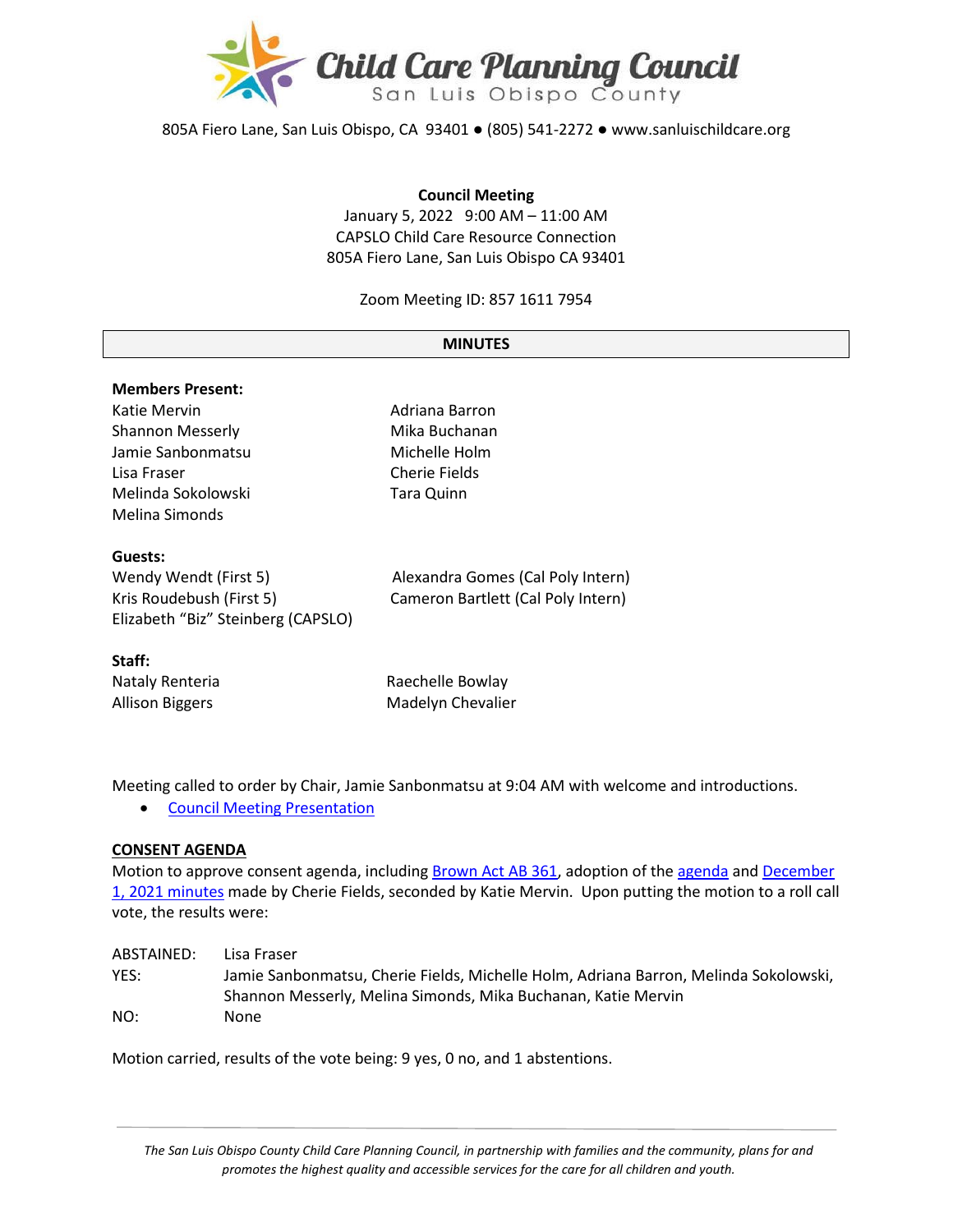

805A Fiero Lane, San Luis Obispo, CA 93401 ● (805) 541-2272 ● www.sanluischildcare.org

#### **Council Meeting**

January 5, 2022 9:00 AM – 11:00 AM CAPSLO Child Care Resource Connection 805A Fiero Lane, San Luis Obispo CA 93401

Zoom Meeting ID: 857 1611 7954

#### **MINUTES**

# **Members Present:** Katie Mervin **Adriana Barron** Shannon Messerly **Mika Buchanan** Jamie Sanbonmatsu Michelle Holm Lisa Fraser Cherie Fields Melinda Sokolowski Tara Quinn Melina Simonds **Guests:** Wendy Wendt (First 5) Alexandra Gomes (Cal Poly Intern) Kris Roudebush (First 5) Cameron Bartlett (Cal Poly Intern) Elizabeth "Biz" Steinberg (CAPSLO) **Staff:**

Nataly Renteria **Raechelle Bowlay** Allison Biggers **Madelyn Chevalier** Madelyn Chevalier

Meeting called to order by Chair, Jamie Sanbonmatsu at 9:04 AM with welcome and introductions.

• [Council Meeting Presentation](https://www.canva.com/design/DAEzxZtOpiY/VEc_GpWQ37ixjA9Keu6FsA/view?utm_content=DAEzxZtOpiY&utm_campaign=designshare&utm_medium=link&utm_source=publishsharelink)

#### **CONSENT AGENDA**

Motion to approve consent agenda, including [Brown Act AB 361,](https://drive.google.com/file/d/179jSsCZ96BXLA-Sxj6FTXfUxCs_fDzWp/view?usp=sharing) adoption of th[e agenda](https://drive.google.com/file/d/1GAzKy2A6Iymq9rg2AKvTL1r6XzQ9j_It/view?usp=sharing) and [December](https://drive.google.com/file/d/1JJlAYP5PJqxkgkugbuzjUOt2Kp92eJ0J/view?usp=sharing)  1[, 2021 minutes](https://drive.google.com/file/d/1JJlAYP5PJqxkgkugbuzjUOt2Kp92eJ0J/view?usp=sharing) made by Cherie Fields, seconded by Katie Mervin. Upon putting the motion to a roll call vote, the results were:

| ABSTAINED: | Lisa Fraser                                                                          |
|------------|--------------------------------------------------------------------------------------|
| YES:       | Jamie Sanbonmatsu, Cherie Fields, Michelle Holm, Adriana Barron, Melinda Sokolowski, |
|            | Shannon Messerly, Melina Simonds, Mika Buchanan, Katie Mervin                        |
| NO:        | None                                                                                 |

Motion carried, results of the vote being: 9 yes, 0 no, and 1 abstentions.

*The San Luis Obispo County Child Care Planning Council, in partnership with families and the community, plans for and promotes the highest quality and accessible services for the care for all children and youth.*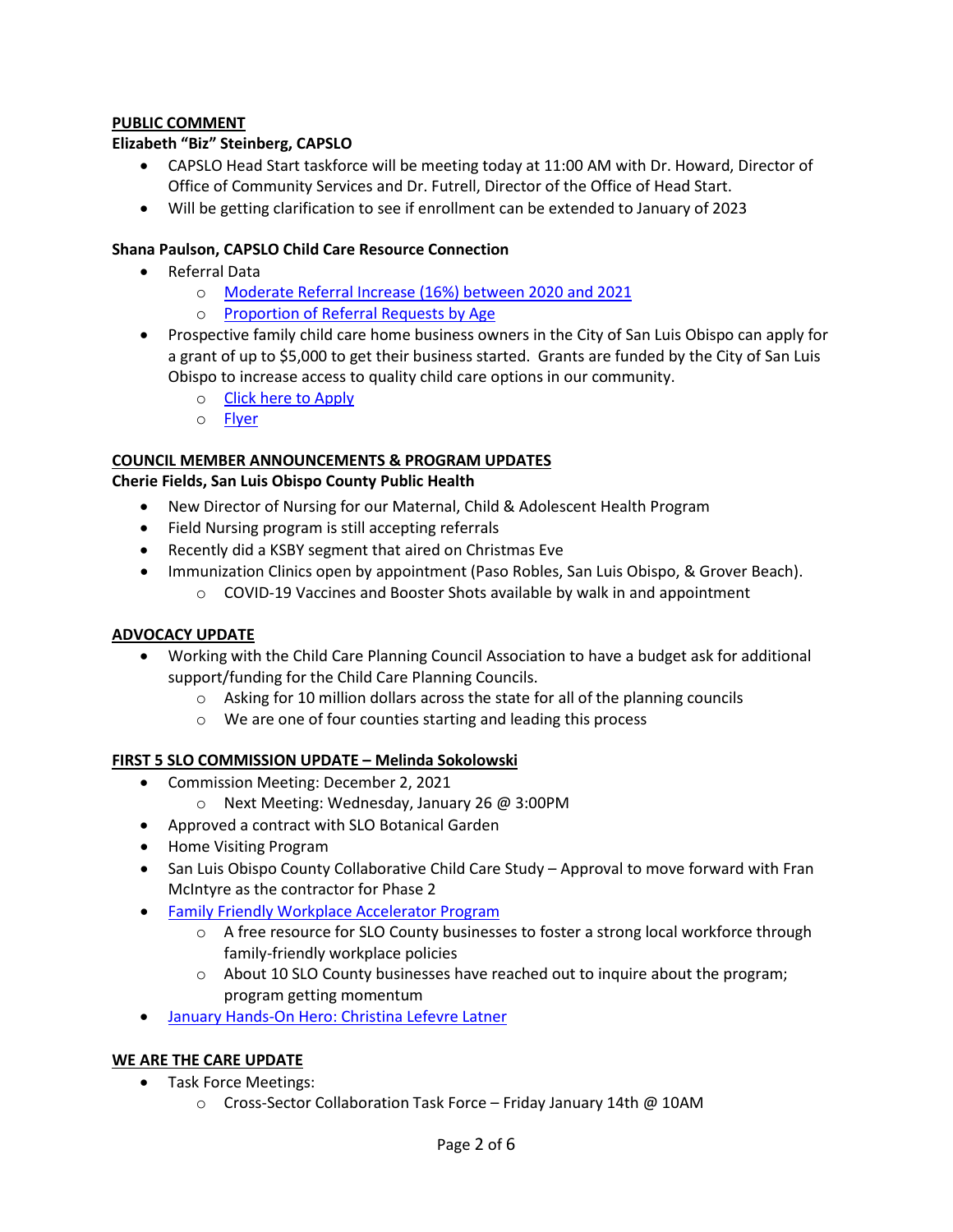# **PUBLIC COMMENT**

## **Elizabeth "Biz" Steinberg, CAPSLO**

- CAPSLO Head Start taskforce will be meeting today at 11:00 AM with Dr. Howard, Director of Office of Community Services and Dr. Futrell, Director of the Office of Head Start.
- Will be getting clarification to see if enrollment can be extended to January of 2023

## **Shana Paulson, CAPSLO Child Care Resource Connection**

- Referral Data
	- o [Moderate Referral Increase \(16%\) between](https://drive.google.com/file/d/129K6ENsNP3i3kTWffv7xHBrIOF8Mq74C/view?usp=sharing) 2020 and 2021
	- o [Proportion of Referral Requests by Age](https://drive.google.com/file/d/11_ysxFYpsvLx5iSywsx_D5wvx4xC6Q6_/view?usp=sharing)
- Prospective family child care home business owners in the City of San Luis Obispo can apply for a grant of up to \$5,000 to get their business started. Grants are funded by the City of San Luis Obispo to increase access to quality child care options in our community.
	- o [Click here to Apply](https://docs.google.com/forms/d/e/1FAIpQLSdsnZ1TvlOfSRMs7lNP4awe3cfWTpvbxqK_2P-ChXg0OM_HQA/viewform)
	- o [Flyer](https://drive.google.com/file/d/1spx_MNT7nDErlMQ_Sz10J-Az2EANNErG/view?usp=sharing)

## **COUNCIL MEMBER ANNOUNCEMENTS & PROGRAM UPDATES**

**Cherie Fields, San Luis Obispo County Public Health**

- New Director of Nursing for our Maternal, Child & Adolescent Health Program
- Field Nursing program is still accepting referrals
- Recently did a KSBY segment that aired on Christmas Eve
- Immunization Clinics open by appointment (Paso Robles, San Luis Obispo, & Grover Beach).
	- $\circ$  COVID-19 Vaccines and Booster Shots available by walk in and appointment

# **ADVOCACY UPDATE**

- Working with the Child Care Planning Council Association to have a budget ask for additional support/funding for the Child Care Planning Councils.
	- $\circ$  Asking for 10 million dollars across the state for all of the planning councils
	- o We are one of four counties starting and leading this process

# **FIRST 5 SLO COMMISSION UPDATE – Melinda Sokolowski**

- Commission Meeting: December 2, 2021
	- o Next Meeting: Wednesday, January 26 @ 3:00PM
- Approved a contract with SLO Botanical Garden
- Home Visiting Program
- San Luis Obispo County Collaborative Child Care Study Approval to move forward with Fran McIntyre as the contractor for Phase 2
- [Family Friendly Workplace Accelerator Program](https://slochamber.org/slo-chamber-announces-new-free-family-friendly-workplace-accelerator-program/) 
	- $\circ$  A free resource for SLO County businesses to foster a strong local workforce through family-friendly workplace policies
	- o About 10 SLO County businesses have reached out to inquire about the program; program getting momentum
- January Hands-[On Hero: Christina Lefevre Latner](https://storage.googleapis.com/first5slo-org/uploads/First%205%20Hands-on%20Hero%20Jan%202022%20Press%20Ready%20Profile.pdf)

#### **WE ARE THE CARE UPDATE**

- Task Force Meetings:
	- o Cross-Sector Collaboration Task Force Friday January 14th @ 10AM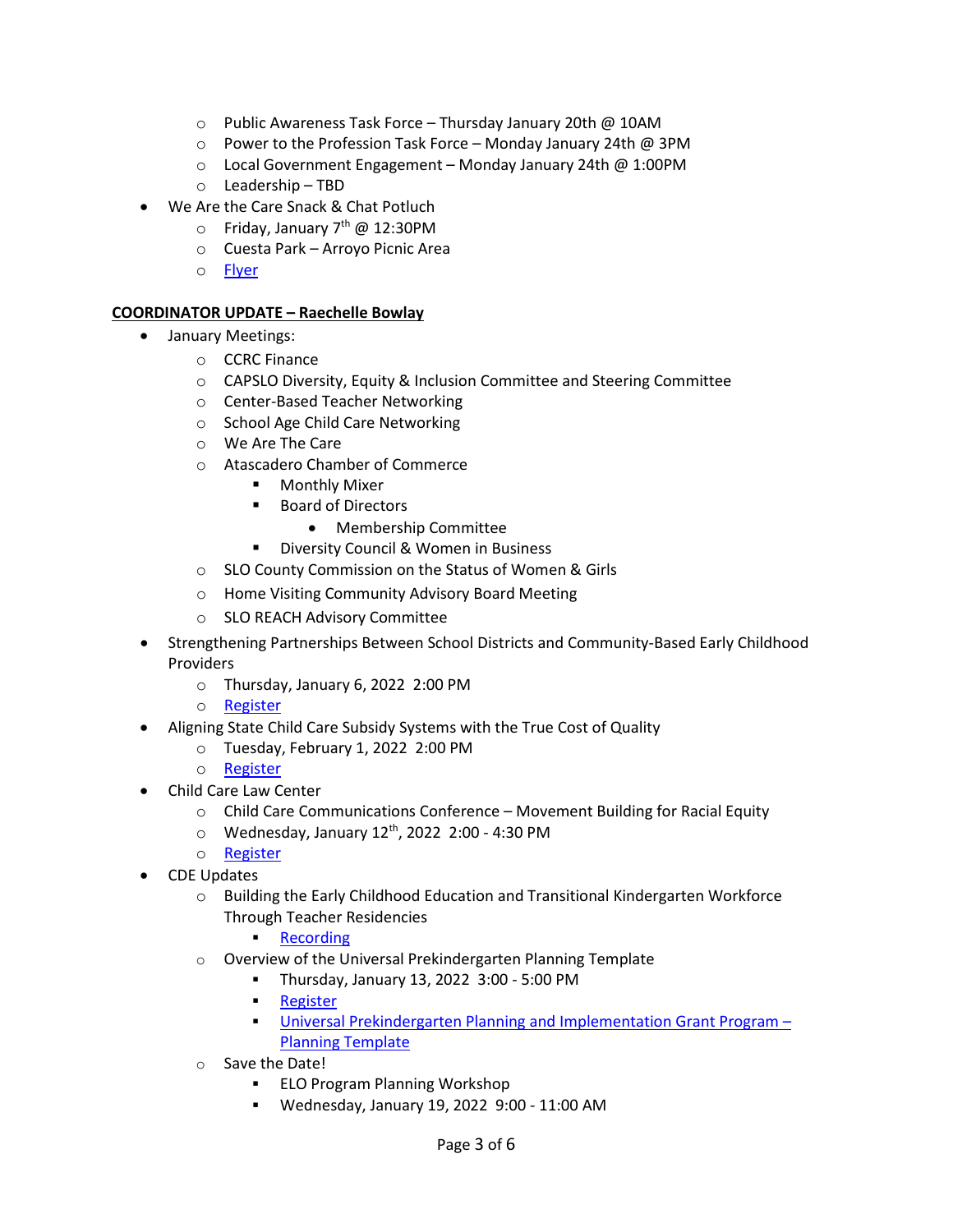- o Public Awareness Task Force Thursday January 20th @ 10AM
- o Power to the Profession Task Force Monday January 24th @ 3PM
- o Local Government Engagement Monday January 24th @ 1:00PM
- o Leadership TBD
- We Are the Care Snack & Chat Potluch
	- o Friday, January 7<sup>th</sup> @ 12:30PM
	- o Cuesta Park Arroyo Picnic Area
	- o [Flyer](https://drive.google.com/file/d/1FZYsx-gal5Yl_3bsetNPeakJd4lIprJK/view?usp=sharing)

## **COORDINATOR UPDATE – Raechelle Bowlay**

- January Meetings:
	- o CCRC Finance
	- o CAPSLO Diversity, Equity & Inclusion Committee and Steering Committee
	- o Center-Based Teacher Networking
	- o School Age Child Care Networking
	- o We Are The Care
	- o Atascadero Chamber of Commerce
		- **Monthly Mixer**
		- Board of Directors
			- Membership Committee
		- **Diversity Council & Women in Business**
	- o SLO County Commission on the Status of Women & Girls
	- o Home Visiting Community Advisory Board Meeting
	- o SLO REACH Advisory Committee
- Strengthening Partnerships Between School Districts and Community-Based Early Childhood Providers
	- o Thursday, January 6, 2022 2:00 PM
	- o [Register](https://zoom.us/webinar/register/WN_A3bN0H8WSbOXr9pu7qzjig)
- Aligning State Child Care Subsidy Systems with the True Cost of Quality
	- o Tuesday, February 1, 2022 2:00 PM
	- o [Register](https://zoom.us/webinar/register/WN_DiPe3bUYSdiiRm6SvQUqeQ)
- Child Care Law Center
	- o Child Care Communications Conference Movement Building for Racial Equity
	- $\circ$  Wednesday, January 12<sup>th</sup>, 2022 2:00 4:30 PM
	- o [Register](https://childcarelaw.salsalabs.org/commsconference2022/index.html)
- CDE Updates
	- o Building the Early Childhood Education and Transitional Kindergarten Workforce Through Teacher Residencies
		- **[Recording](https://www.youtube.com/watch?v=xgJznuK39eQ)**
	- o Overview of the Universal Prekindergarten Planning Template
		- Thursday, January 13, 2022 3:00 5:00 PM
		- **[Register](https://us02web.zoom.us/webinar/register/WN_AJpwi3ZpQGqcNvBu5dXtYg)**
		- [Universal Prekindergarten Planning and Implementation Grant Program](https://drive.google.com/file/d/1AbmwlXST-lNQqGTrf2mYxQ51uTMdOhmw/view)  [Planning Template](https://drive.google.com/file/d/1AbmwlXST-lNQqGTrf2mYxQ51uTMdOhmw/view)
	- o Save the Date!
		- ELO Program Planning Workshop
		- Wednesday, January 19, 2022 9:00 11:00 AM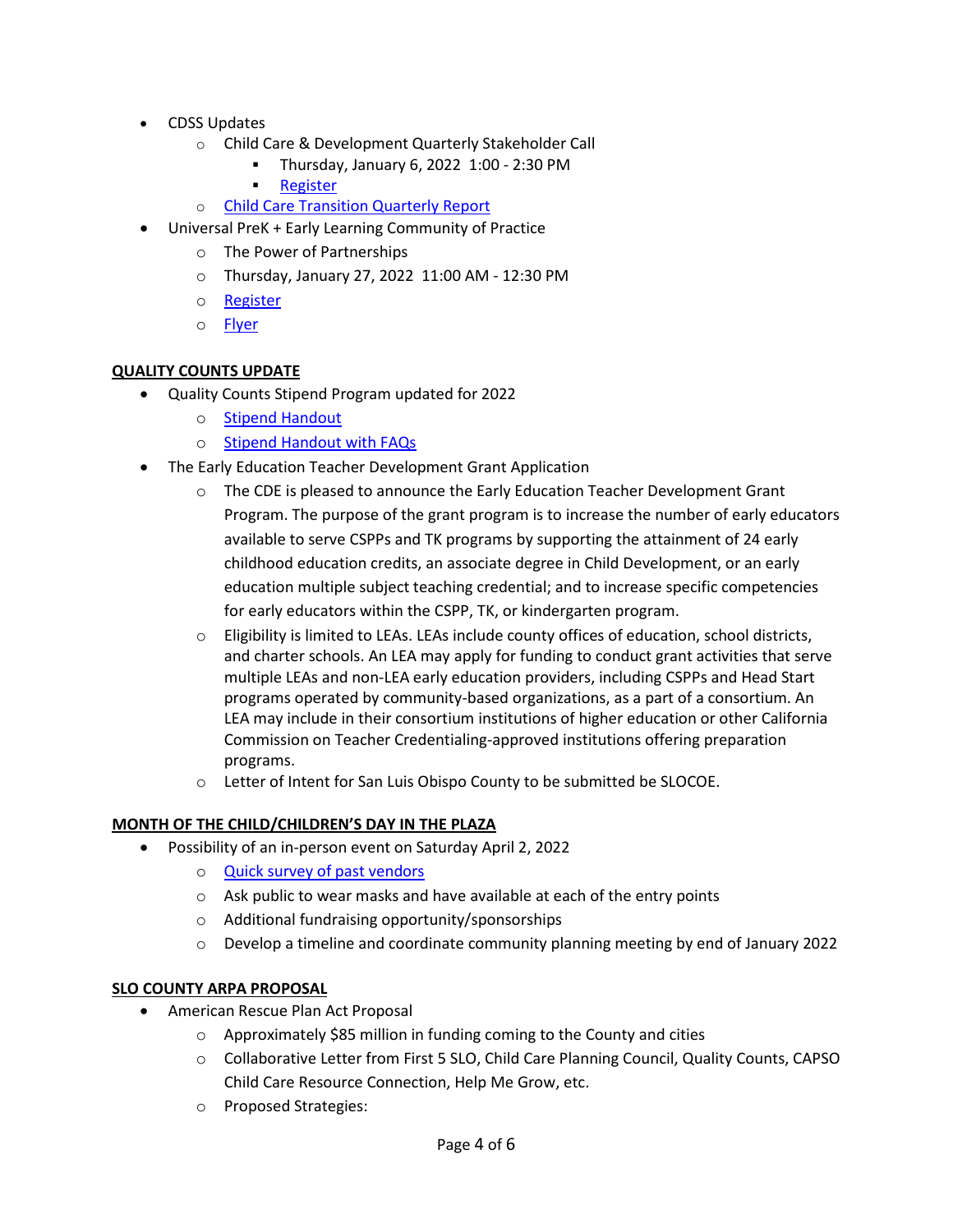- CDSS Updates
	- o Child Care & Development Quarterly Stakeholder Call
		- Thursday, January 6, 2022 1:00 2:30 PM
		- [Register](https://us02web.zoom.us/webinar/register/WN_D5VgQUSeSuKwLHJT6FCSNg)
	- o [Child Care Transition Quarterly Report](https://cdss.ca.gov/inforesources/cdss-programs/calworks-child-care/child-care-transition)
- Universal PreK + Early Learning Community of Practice
	- o The Power of Partnerships
	- o Thursday, January 27, 2022 11:00 AM 12:30 PM
	- o [Register](https://slocoe.k12oms.org/2535-213646)
	- o **[Flyer](https://drive.google.com/file/d/1ebqCbqWg8KA1Cf5jRAA7SF2rJyo5m04i/view?usp=sharing)**

## **QUALITY COUNTS UPDATE**

- Quality Counts Stipend Program updated for 2022
	- o [Stipend Handout](https://drive.google.com/file/d/1r4Azq2nhP92EibSp6MxVZI2nXNAjOOBY/view?usp=sharing)
	- o [Stipend Handout with FAQs](https://drive.google.com/file/d/1XRjSfeRV3geC7aVv6lB1awLQSg953pbY/view?usp=sharing)
- The Early Education Teacher Development Grant Application
	- o The CDE is pleased to announce the Early Education Teacher Development Grant Program. The purpose of the grant program is to increase the number of early educators available to serve CSPPs and TK programs by supporting the attainment of 24 early childhood education credits, an associate degree in Child Development, or an early education multiple subject teaching credential; and to increase specific competencies for early educators within the CSPP, TK, or kindergarten program.
	- $\circ$  Eligibility is limited to LEAs. LEAs include county offices of education, school districts, and charter schools. An LEA may apply for funding to conduct grant activities that serve multiple LEAs and non-LEA early education providers, including CSPPs and Head Start programs operated by community-based organizations, as a part of a consortium. An LEA may include in their consortium institutions of higher education or other California Commission on Teacher Credentialing-approved institutions offering preparation programs.
	- o Letter of Intent for San Luis Obispo County to be submitted be SLOCOE.

# **MONTH OF THE CHILD/CHILDREN'S DAY IN THE PLAZA**

- Possibility of an in-person event on Saturday April 2, 2022
	- o **[Quick survey of past vendors](https://docs.google.com/forms/d/1U-ezWJ0ESQw0AQgMS4pSUJ3EYjy_oGBZI5ueG7xPLjI/edit#responses)**
	- o Ask public to wear masks and have available at each of the entry points
	- o Additional fundraising opportunity/sponsorships
	- $\circ$  Develop a timeline and coordinate community planning meeting by end of January 2022

#### **SLO COUNTY ARPA PROPOSAL**

- American Rescue Plan Act Proposal
	- o Approximately \$85 million in funding coming to the County and cities
	- o Collaborative Letter from First 5 SLO, Child Care Planning Council, Quality Counts, CAPSO Child Care Resource Connection, Help Me Grow, etc.
	- o Proposed Strategies: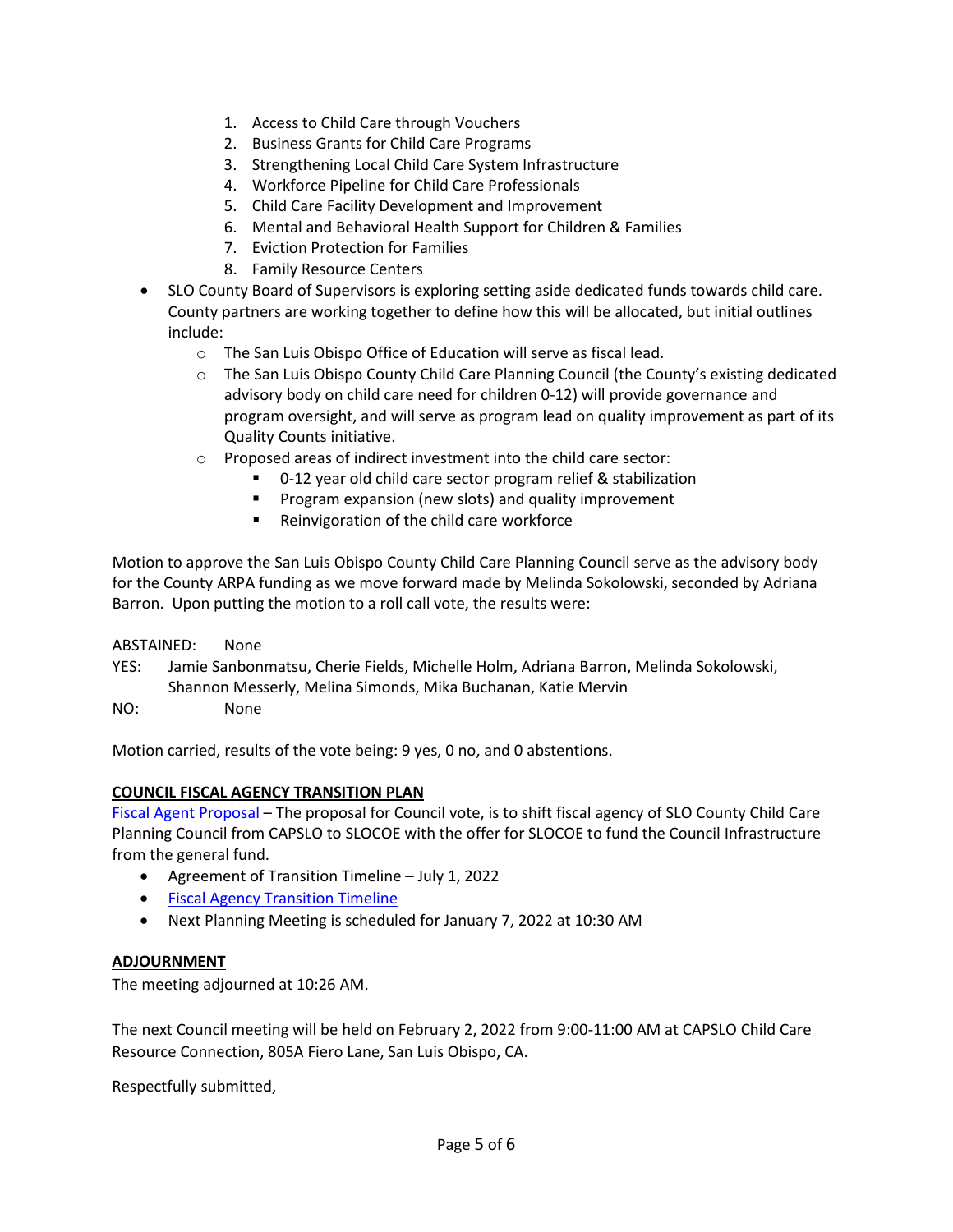- 1. Access to Child Care through Vouchers
- 2. Business Grants for Child Care Programs
- 3. Strengthening Local Child Care System Infrastructure
- 4. Workforce Pipeline for Child Care Professionals
- 5. Child Care Facility Development and Improvement
- 6. Mental and Behavioral Health Support for Children & Families
- 7. Eviction Protection for Families
- 8. Family Resource Centers
- SLO County Board of Supervisors is exploring setting aside dedicated funds towards child care. County partners are working together to define how this will be allocated, but initial outlines include:
	- o The San Luis Obispo Office of Education will serve as fiscal lead.
	- o The San Luis Obispo County Child Care Planning Council (the County's existing dedicated advisory body on child care need for children 0-12) will provide governance and program oversight, and will serve as program lead on quality improvement as part of its Quality Counts initiative.
	- o Proposed areas of indirect investment into the child care sector:
		- 0-12 year old child care sector program relief & stabilization
		- **Program expansion (new slots) and quality improvement**
		- **Reinvigoration of the child care workforce**

Motion to approve the San Luis Obispo County Child Care Planning Council serve as the advisory body for the County ARPA funding as we move forward made by Melinda Sokolowski, seconded by Adriana Barron. Upon putting the motion to a roll call vote, the results were:

ABSTAINED: None

YES: Jamie Sanbonmatsu, Cherie Fields, Michelle Holm, Adriana Barron, Melinda Sokolowski, Shannon Messerly, Melina Simonds, Mika Buchanan, Katie Mervin

NO: None

Motion carried, results of the vote being: 9 yes, 0 no, and 0 abstentions.

#### **COUNCIL FISCAL AGENCY TRANSITION PLAN**

[Fiscal Agent Proposal](http://www.sanluischildcare.org/fiscal-agent-proposal.html) – The proposal for Council vote, is to shift fiscal agency of SLO County Child Care Planning Council from CAPSLO to SLOCOE with the offer for SLOCOE to fund the Council Infrastructure from the general fund.

- Agreement of Transition Timeline July 1, 2022
- [Fiscal Agency Transition Timeline](https://docs.google.com/document/d/18QGLBHfYy8R_X4f7GT9_Kptdrw7O-tLxDzTm3H1Q4zs/edit)
- Next Planning Meeting is scheduled for January 7, 2022 at 10:30 AM

#### **ADJOURNMENT**

The meeting adjourned at 10:26 AM.

The next Council meeting will be held on February 2, 2022 from 9:00-11:00 AM at CAPSLO Child Care Resource Connection, 805A Fiero Lane, San Luis Obispo, CA.

Respectfully submitted,